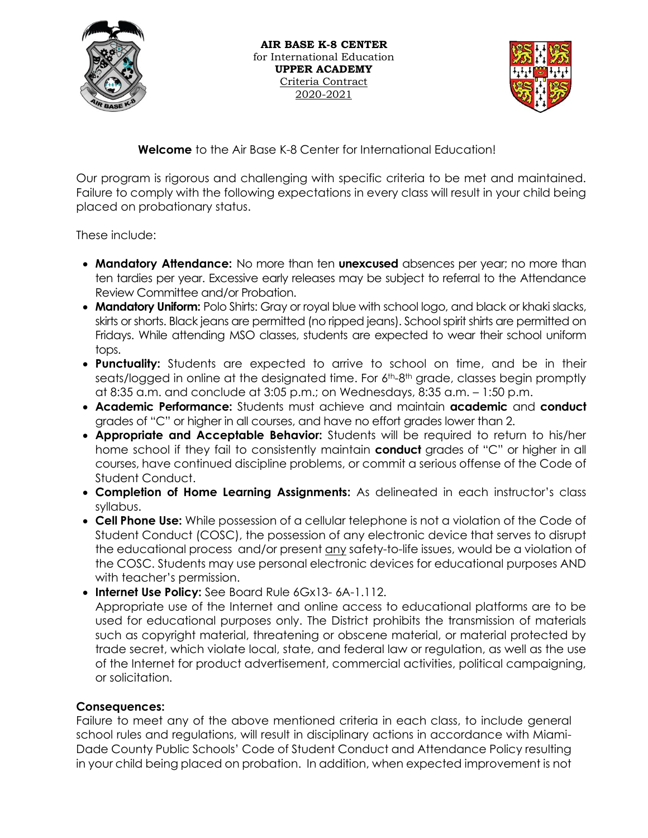

 **AIR BASE K-8 CENTER** for International Education **UPPER ACADEMY** Criteria Contract 2020-2021



**Welcome** to the Air Base K-8 Center for International Education!

Our program is rigorous and challenging with specific criteria to be met and maintained. Failure to comply with the following expectations in every class will result in your child being placed on probationary status.

These include:

- **Mandatory Attendance:** No more than ten **unexcused** absences per year; no more than ten tardies per year. Excessive early releases may be subject to referral to the Attendance Review Committee and/or Probation.
- **Mandatory Uniform:** Polo Shirts: Gray or royal blue with school logo, and black or khaki slacks, skirts or shorts. Black jeans are permitted (no ripped jeans). School spirit shirts are permitted on Fridays. While attending MSO classes, students are expected to wear their school uniform tops.
- **Punctuality:** Students are expected to arrive to school on time, and be in their seats/logged in online at the designated time. For 6<sup>th</sup>-8<sup>th</sup> grade, classes begin promptly at 8:35 a.m. and conclude at 3:05 p.m.; on Wednesdays, 8:35 a.m. – 1:50 p.m.
- **Academic Performance:** Students must achieve and maintain **academic** and **conduct**  grades of "C" or higher in all courses, and have no effort grades lower than 2.
- **Appropriate and Acceptable Behavior:** Students will be required to return to his/her home school if they fail to consistently maintain **conduct** grades of "C" or higher in all courses, have continued discipline problems, or commit a serious offense of the Code of Student Conduct.
- **Completion of Home Learning Assignments:** As delineated in each instructor's class syllabus.
- **Cell Phone Use:** While possession of a cellular telephone is not a violation of the Code of Student Conduct (COSC), the possession of any electronic device that serves to disrupt the educational process and/or present any safety-to-life issues, would be a violation of the COSC. Students may use personal electronic devices for educational purposes AND with teacher's permission.
- **Internet Use Policy:** See Board Rule 6Gx13- 6A-1.112. Appropriate use of the Internet and online access to educational platforms are to be used for educational purposes only. The District prohibits the transmission of materials such as copyright material, threatening or obscene material, or material protected by trade secret, which violate local, state, and federal law or regulation, as well as the use of the Internet for product advertisement, commercial activities, political campaigning, or solicitation.

## **Consequences:**

Failure to meet any of the above mentioned criteria in each class, to include general school rules and regulations, will result in disciplinary actions in accordance with Miami-Dade County Public Schools' Code of Student Conduct and Attendance Policy resulting in your child being placed on probation. In addition, when expected improvement is not